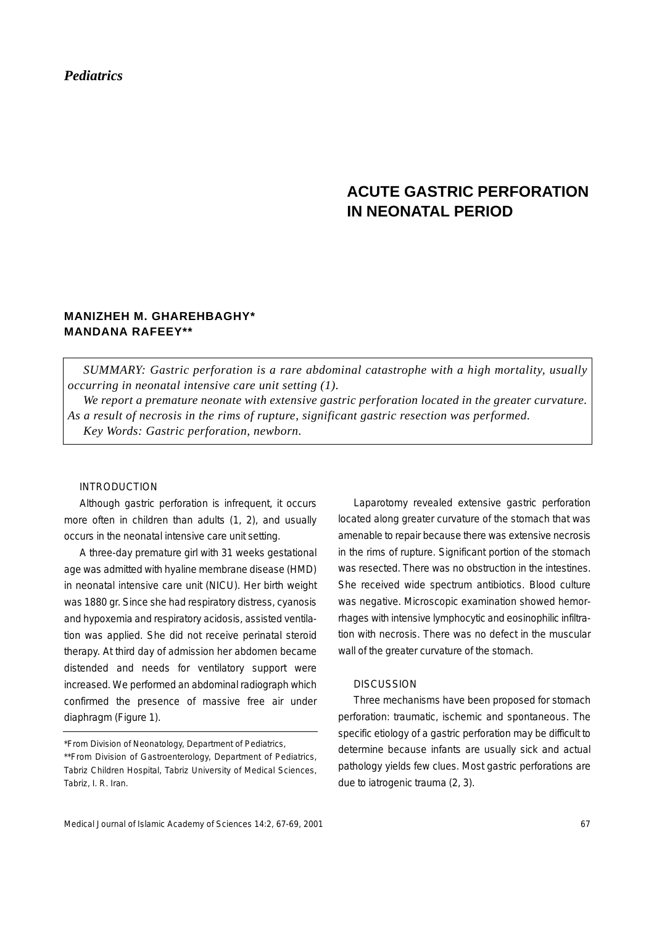# *Pediatrics*

# **ACUTE GASTRIC PERFORATION IN NEONATAL PERIOD**

## **MANIZHEH M. GHAREHBAGHY\* MANDANA RAFEEY\*\***

*SUMMARY: Gastric perforation is a rare abdominal catastrophe with a high mortality, usually occurring in neonatal intensive care unit setting (1).*

*We report a premature neonate with extensive gastric perforation located in the greater curvature. As a result of necrosis in the rims of rupture, significant gastric resection was performed. Key Words: Gastric perforation, newborn.*

### INTRODUCTION

Although gastric perforation is infrequent, it occurs more often in children than adults (1, 2), and usually occurs in the neonatal intensive care unit setting.

A three-day premature girl with 31 weeks gestational age was admitted with hyaline membrane disease (HMD) in neonatal intensive care unit (NICU). Her birth weight was 1880 gr. Since she had respiratory distress, cyanosis and hypoxemia and respiratory acidosis, assisted ventilation was applied. She did not receive perinatal steroid therapy. At third day of admission her abdomen became distended and needs for ventilatory support were increased. We performed an abdominal radiograph which confirmed the presence of massive free air under diaphragm (Figure 1).

\*From Division of Neonatology, Department of Pediatrics,

Laparotomy revealed extensive gastric perforation located along greater curvature of the stomach that was amenable to repair because there was extensive necrosis in the rims of rupture. Significant portion of the stomach was resected. There was no obstruction in the intestines. She received wide spectrum antibiotics. Blood culture was negative. Microscopic examination showed hemorrhages with intensive lymphocytic and eosinophilic infiltration with necrosis. There was no defect in the muscular wall of the greater curvature of the stomach.

#### **DISCUSSION**

Three mechanisms have been proposed for stomach perforation: traumatic, ischemic and spontaneous. The specific etiology of a gastric perforation may be difficult to determine because infants are usually sick and actual pathology yields few clues. Most gastric perforations are due to iatrogenic trauma (2, 3).

<sup>\*\*</sup>From Division of Gastroenterology, Department of Pediatrics, Tabriz Children Hospital, Tabriz University of Medical Sciences, Tabriz, I. R. Iran.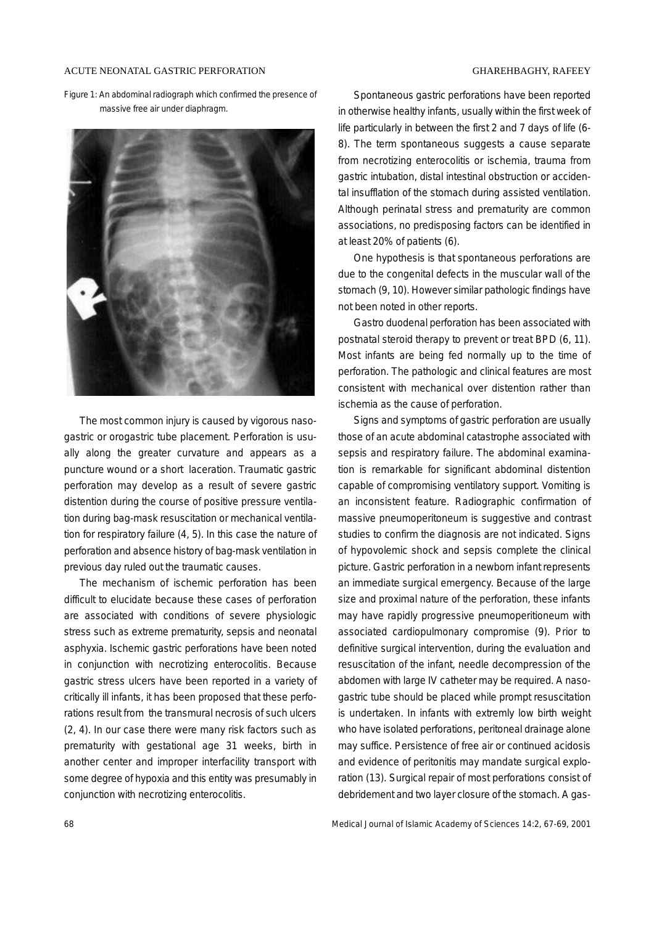#### ACUTE NEONATAL GASTRIC PERFORATION GHAREHBAGHY, RAFEEY

Figure 1: An abdominal radiograph which confirmed the presence of massive free air under diaphragm.



The most common injury is caused by vigorous nasogastric or orogastric tube placement. Perforation is usually along the greater curvature and appears as a puncture wound or a short laceration. Traumatic gastric perforation may develop as a result of severe gastric distention during the course of positive pressure ventilation during bag-mask resuscitation or mechanical ventilation for respiratory failure (4, 5). In this case the nature of perforation and absence history of bag-mask ventilation in previous day ruled out the traumatic causes.

The mechanism of ischemic perforation has been difficult to elucidate because these cases of perforation are associated with conditions of severe physiologic stress such as extreme prematurity, sepsis and neonatal asphyxia. Ischemic gastric perforations have been noted in conjunction with necrotizing enterocolitis. Because gastric stress ulcers have been reported in a variety of critically ill infants, it has been proposed that these perforations result from the transmural necrosis of such ulcers (2, 4). In our case there were many risk factors such as prematurity with gestational age 31 weeks, birth in another center and improper interfacility transport with some degree of hypoxia and this entity was presumably in conjunction with necrotizing enterocolitis.

Spontaneous gastric perforations have been reported in otherwise healthy infants, usually within the first week of life particularly in between the first 2 and 7 days of life (6- 8). The term spontaneous suggests a cause separate from necrotizing enterocolitis or ischemia, trauma from gastric intubation, distal intestinal obstruction or accidental insufflation of the stomach during assisted ventilation. Although perinatal stress and prematurity are common associations, no predisposing factors can be identified in at least 20% of patients (6).

One hypothesis is that spontaneous perforations are due to the congenital defects in the muscular wall of the stomach (9, 10). However similar pathologic findings have not been noted in other reports.

Gastro duodenal perforation has been associated with postnatal steroid therapy to prevent or treat BPD (6, 11). Most infants are being fed normally up to the time of perforation. The pathologic and clinical features are most consistent with mechanical over distention rather than ischemia as the cause of perforation.

Signs and symptoms of gastric perforation are usually those of an acute abdominal catastrophe associated with sepsis and respiratory failure. The abdominal examination is remarkable for significant abdominal distention capable of compromising ventilatory support. Vomiting is an inconsistent feature. Radiographic confirmation of massive pneumoperitoneum is suggestive and contrast studies to confirm the diagnosis are not indicated. Signs of hypovolemic shock and sepsis complete the clinical picture. Gastric perforation in a newborn infant represents an immediate surgical emergency. Because of the large size and proximal nature of the perforation, these infants may have rapidly progressive pneumoperitioneum with associated cardiopulmonary compromise (9). Prior to definitive surgical intervention, during the evaluation and resuscitation of the infant, needle decompression of the abdomen with large IV catheter may be required. A nasogastric tube should be placed while prompt resuscitation is undertaken. In infants with extremly low birth weight who have isolated perforations, peritoneal drainage alone may suffice. Persistence of free air or continued acidosis and evidence of peritonitis may mandate surgical exploration (13). Surgical repair of most perforations consist of debridement and two layer closure of the stomach. A gas-